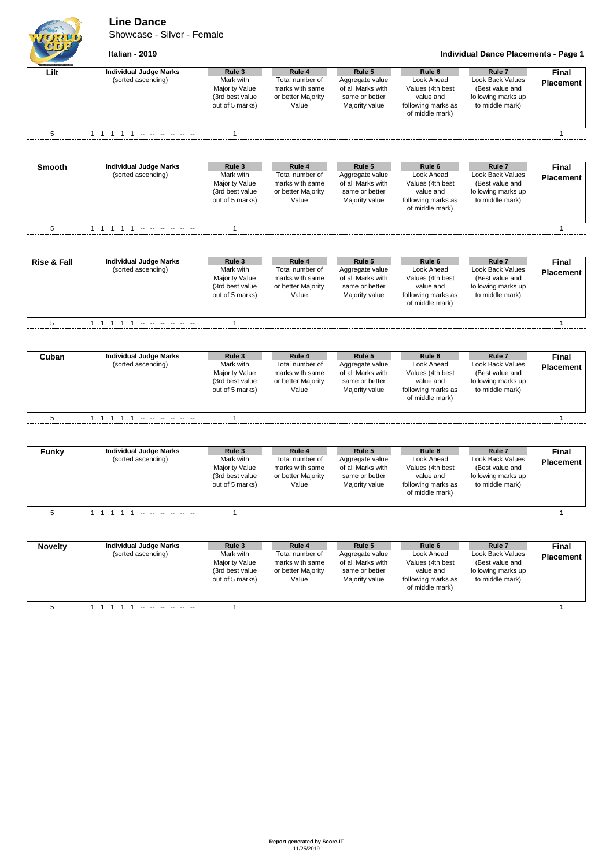**Line Dance**

Showcase - Silver - Female



**Italian - 2019 Individual Dance Placements - Page 1**

| Lilt                   | <b>Individual Judge Marks</b><br>(sorted ascending) | Rule 3<br>Mark with<br>Majority Value<br>(3rd best value<br>out of 5 marks)        | Rule 4<br>Total number of<br>marks with same<br>or better Majority<br>Value | Rule 5<br>Aggregate value<br>of all Marks with<br>same or better<br>Majority value | Rule <sub>6</sub><br>Look Ahead<br>Values (4th best<br>value and<br>following marks as<br>of middle mark) | Rule <sub>7</sub><br>Look Back Values<br>(Best value and<br>following marks up<br>to middle mark)        | Final<br><b>Placement</b>        |
|------------------------|-----------------------------------------------------|------------------------------------------------------------------------------------|-----------------------------------------------------------------------------|------------------------------------------------------------------------------------|-----------------------------------------------------------------------------------------------------------|----------------------------------------------------------------------------------------------------------|----------------------------------|
| 5                      |                                                     | $\mathbf{1}$                                                                       |                                                                             |                                                                                    |                                                                                                           |                                                                                                          | $\mathbf{1}$                     |
| <b>Smooth</b>          | <b>Individual Judge Marks</b><br>(sorted ascending) | Rule 3<br>Mark with<br><b>Majority Value</b><br>(3rd best value<br>out of 5 marks) | Rule 4<br>Total number of<br>marks with same<br>or better Majority<br>Value | Rule 5<br>Aggregate value<br>of all Marks with<br>same or better<br>Majority value | Rule <sub>6</sub><br>Look Ahead<br>Values (4th best<br>value and<br>following marks as<br>of middle mark) | Rule <sub>7</sub><br>Look Back Values<br>(Best value and<br>following marks up<br>to middle mark)        | Final<br><b>Placement</b>        |
| 5                      |                                                     | $\mathbf{1}$                                                                       |                                                                             |                                                                                    |                                                                                                           |                                                                                                          | $\mathbf{1}$                     |
| <b>Rise &amp; Fall</b> | <b>Individual Judge Marks</b><br>(sorted ascending) | Rule 3<br>Mark with<br><b>Majority Value</b><br>(3rd best value<br>out of 5 marks) | Rule 4<br>Total number of<br>marks with same<br>or better Majority<br>Value | Rule 5<br>Aggregate value<br>of all Marks with<br>same or better<br>Majority value | Rule <sub>6</sub><br>Look Ahead<br>Values (4th best<br>value and<br>following marks as<br>of middle mark) | Rule <sub>7</sub><br>Look Back Values<br>(Best value and<br>following marks up<br>to middle mark)        | <b>Final</b><br><b>Placement</b> |
| 5                      | 1 1 1 1 1                                           | $\mathbf{1}$                                                                       |                                                                             |                                                                                    |                                                                                                           |                                                                                                          | $\mathbf{1}$                     |
|                        |                                                     |                                                                                    |                                                                             |                                                                                    |                                                                                                           |                                                                                                          |                                  |
| Cuban                  | <b>Individual Judge Marks</b><br>(sorted ascending) | Rule 3<br>Mark with<br><b>Majority Value</b><br>(3rd best value<br>out of 5 marks) | Rule 4<br>Total number of<br>marks with same<br>or better Majority<br>Value | Rule 5<br>Aggregate value<br>of all Marks with<br>same or better<br>Majority value | Rule 6<br>Look Ahead<br>Values (4th best<br>value and<br>following marks as<br>of middle mark)            | Rule <sub>7</sub><br><b>Look Back Values</b><br>(Best value and<br>following marks up<br>to middle mark) | Final<br><b>Placement</b>        |
| 5                      |                                                     | 1                                                                                  |                                                                             |                                                                                    |                                                                                                           |                                                                                                          | $\mathbf{1}$                     |
|                        |                                                     |                                                                                    |                                                                             |                                                                                    |                                                                                                           |                                                                                                          |                                  |
| <b>Funky</b>           | <b>Individual Judge Marks</b><br>(sorted ascending) | Rule 3<br>Mark with<br>Majority Value<br>(3rd best value<br>out of 5 marks)        | Rule 4<br>Total number of<br>marks with same<br>or better Majority<br>Value | Rule 5<br>Aggregate value<br>of all Marks with<br>same or better<br>Majority value | Rule <sub>6</sub><br>Look Ahead<br>Values (4th best<br>value and<br>following marks as<br>of middle mark) | Rule <sub>7</sub><br>Look Back Values<br>(Best value and<br>following marks up<br>to middle mark)        | <b>Final</b><br><b>Placement</b> |
| 5                      | 1 1 1 1 1 - - - - - -                               | $\mathbf{1}$                                                                       |                                                                             |                                                                                    |                                                                                                           |                                                                                                          | $\mathbf{1}$                     |
|                        |                                                     |                                                                                    |                                                                             |                                                                                    |                                                                                                           |                                                                                                          |                                  |
| <b>Novelty</b>         | <b>Individual Judge Marks</b><br>(sorted ascending) | Rule 3<br>Mark with<br><b>Majority Value</b><br>(3rd best value<br>out of 5 marks) | Rule 4<br>Total number of<br>marks with same<br>or better Majority<br>Value | Rule 5<br>Aggregate value<br>of all Marks with<br>same or better<br>Majority value | Rule <sub>6</sub><br>Look Ahead<br>Values (4th best<br>value and<br>following marks as<br>of middle mark) | Rule <sub>7</sub><br>Look Back Values<br>(Best value and<br>following marks up<br>to middle mark)        | Final<br><b>Placement</b>        |
| 5                      | 1 1 1 1 1 - - - - - -                               | $\mathbf{1}$                                                                       |                                                                             |                                                                                    |                                                                                                           |                                                                                                          | $\mathbf{1}$                     |
|                        |                                                     |                                                                                    |                                                                             |                                                                                    |                                                                                                           |                                                                                                          |                                  |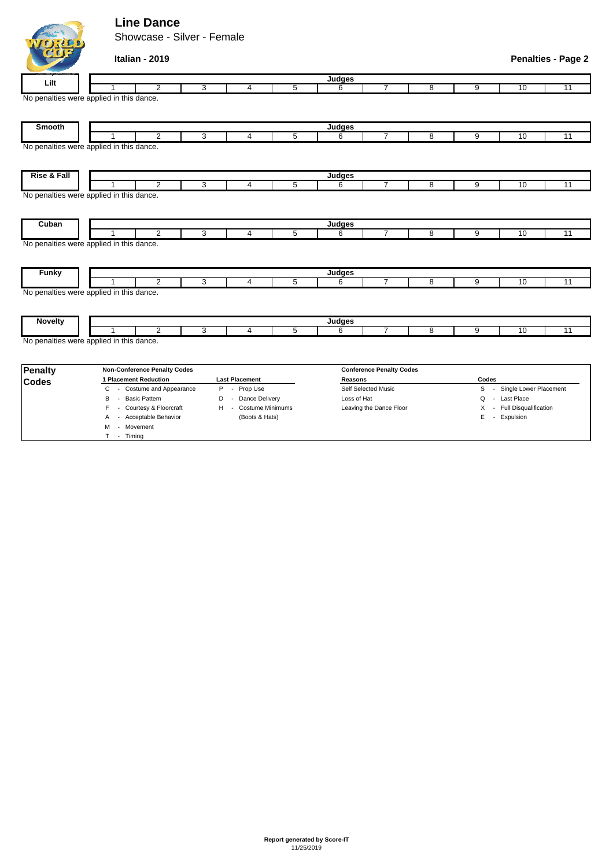## **Line Dance**

M - Movement T - Timing

Showcase - Silver - Female

| ۰.            |  |
|---------------|--|
| dalaman Gomed |  |
| 1 ili         |  |

## **Italian - 2019 Penalties - Page 2**

| Lilt                                     |                                                | <b>Judges</b>                                                   |   |                |                                 |                     |                         |                |                                       |                              |                 |  |
|------------------------------------------|------------------------------------------------|-----------------------------------------------------------------|---|----------------|---------------------------------|---------------------|-------------------------|----------------|---------------------------------------|------------------------------|-----------------|--|
|                                          |                                                | $\overline{2}$                                                  | 3 | 4              | 5                               | 6                   |                         | $\overline{8}$ | 9                                     | 10                           | $\overline{11}$ |  |
| No penalties were applied in this dance. |                                                |                                                                 |   |                |                                 |                     |                         |                |                                       |                              |                 |  |
|                                          |                                                |                                                                 |   |                |                                 |                     |                         |                |                                       |                              |                 |  |
|                                          |                                                |                                                                 |   |                |                                 |                     |                         |                |                                       |                              |                 |  |
| <b>Smooth</b>                            |                                                | Judges                                                          |   |                |                                 |                     |                         |                |                                       |                              |                 |  |
|                                          |                                                | $\overline{2}$                                                  | 3 | 4              | 5                               | 6                   | $\overline{7}$          | 8              | 9                                     | 10                           | 11              |  |
| No penalties were applied in this dance. |                                                |                                                                 |   |                |                                 |                     |                         |                |                                       |                              |                 |  |
|                                          |                                                |                                                                 |   |                |                                 |                     |                         |                |                                       |                              |                 |  |
|                                          |                                                |                                                                 |   |                |                                 |                     |                         |                |                                       |                              |                 |  |
| <b>Rise &amp; Fall</b>                   |                                                | $\overline{2}$                                                  | 3 |                |                                 | Judges              | $\overline{7}$          | 8              |                                       | 10                           |                 |  |
|                                          |                                                |                                                                 |   | 4              | 5                               | 6                   |                         |                | 9                                     |                              | 11              |  |
| No penalties were applied in this dance. |                                                |                                                                 |   |                |                                 |                     |                         |                |                                       |                              |                 |  |
|                                          |                                                |                                                                 |   |                |                                 |                     |                         |                |                                       |                              |                 |  |
| Cuban                                    |                                                |                                                                 |   |                |                                 | Judges              |                         |                |                                       |                              |                 |  |
|                                          |                                                | $\overline{2}$                                                  | 3 | 4              | 5                               | 6                   | $\overline{7}$          | 8              | 9                                     | 10                           | 11              |  |
| No penalties were applied in this dance. |                                                |                                                                 |   |                |                                 |                     |                         |                |                                       |                              |                 |  |
|                                          |                                                |                                                                 |   |                |                                 |                     |                         |                |                                       |                              |                 |  |
|                                          |                                                |                                                                 |   |                |                                 |                     |                         |                |                                       |                              |                 |  |
| Funky                                    | Judges                                         |                                                                 |   |                |                                 |                     |                         |                |                                       |                              |                 |  |
|                                          | 1                                              | 2                                                               | 3 | 4              | 5                               | 6                   | $\overline{7}$          | 8              | 9                                     | 10                           | 11              |  |
| No penalties were applied in this dance. |                                                |                                                                 |   |                |                                 |                     |                         |                |                                       |                              |                 |  |
|                                          |                                                |                                                                 |   |                |                                 |                     |                         |                |                                       |                              |                 |  |
|                                          |                                                |                                                                 |   |                |                                 |                     |                         |                |                                       |                              |                 |  |
| <b>Novelty</b>                           | Judges                                         |                                                                 |   |                |                                 |                     |                         |                |                                       |                              |                 |  |
|                                          | 1                                              | $\overline{2}$                                                  | 3 | 4              | 5                               | 6                   | 7                       | 8              | 9                                     | 10                           | 11              |  |
| No penalties were applied in this dance. |                                                |                                                                 |   |                |                                 |                     |                         |                |                                       |                              |                 |  |
|                                          |                                                |                                                                 |   |                |                                 |                     |                         |                |                                       |                              |                 |  |
|                                          |                                                |                                                                 |   |                |                                 |                     |                         |                |                                       |                              |                 |  |
| <b>Penalty</b>                           |                                                | <b>Non-Conference Penalty Codes</b>                             |   |                | <b>Conference Penalty Codes</b> |                     |                         |                |                                       |                              |                 |  |
| <b>Codes</b>                             | 1 Placement Reduction<br><b>Last Placement</b> |                                                                 |   |                |                                 | Reasons             |                         |                | Codes                                 |                              |                 |  |
|                                          | - Costume and Appearance<br>P - Prop Use<br>C  |                                                                 |   |                |                                 | Self Selected Music |                         |                | Single Lower Placement<br>s<br>$\sim$ |                              |                 |  |
|                                          | B                                              | <b>Basic Pattern</b><br>Dance Delivery<br>D<br>$\sim$           |   |                |                                 |                     | Loss of Hat             |                |                                       | Last Place<br>Q<br>$\sim$    |                 |  |
|                                          | F                                              | Courtesy & Floorcraft<br><b>Costume Minimums</b><br>н<br>$\sim$ |   |                |                                 |                     | Leaving the Dance Floor |                |                                       | - Full Disqualification<br>X |                 |  |
|                                          | A                                              | - Acceptable Behavior                                           |   | (Boots & Hats) |                                 |                     |                         |                | - Expulsion<br>E                      |                              |                 |  |